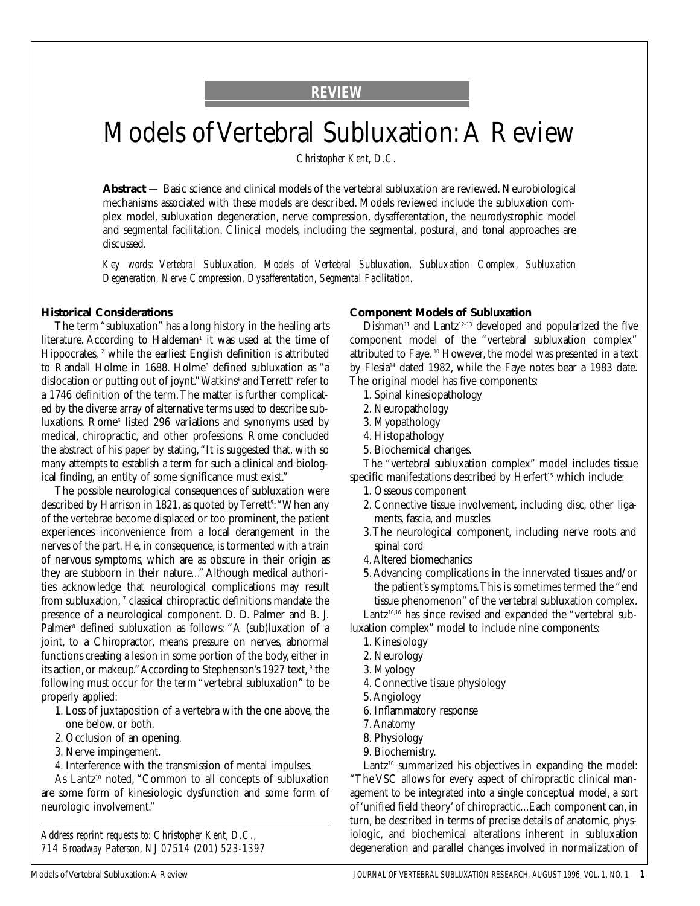## **REVIEW**

# Models of Vertebral Subluxation:A Review

*Christopher Kent, D.C.*

**Abstract** — Basic science and clinical models of the vertebral subluxation are reviewed. Neurobiological mechanisms associated with these models are described. Models reviewed include the subluxation complex model, subluxation degeneration, nerve compression, dysafferentation, the neurodystrophic model and segmental facilitation. Clinical models, including the segmental, postural, and tonal approaches are discussed.

*Key words: Vertebral Subluxation, Models of Vertebral Subluxation, Subluxation Complex, Subluxation Degeneration, Nerve Compression, Dysafferentation, Segmental Facilitation.*

#### **Historical Considerations**

The term "subluxation" has a long history in the healing arts literature. According to Haldeman<sup>1</sup> it was used at the time of Hippocrates,<sup>2</sup> while the earliest English definition is attributed to Randall Holme in 1688. Holme<sup>3</sup> defined subluxation as "a dislocation or putting out of joynt." Watkins<sup>4</sup> and Terrett<sup>5</sup> refer to a 1746 definition of the term.The matter is further complicated by the diverse array of alternative terms used to describe subluxations. Rome<sup>6</sup> listed 296 variations and synonyms used by medical, chiropractic, and other professions. Rome concluded the abstract of his paper by stating,"It is suggested that, with so many attempts to establish a term for such a clinical and biological finding, an entity of some significance must exist."

The possible neurological consequences of subluxation were described by Harrison in 1821, as quoted by Terrett<sup>s</sup>: "When any of the vertebrae become displaced or too prominent, the patient experiences inconvenience from a local derangement in the nerves of the part. He, in consequence, is tormented with a train of nervous symptoms, which are as obscure in their origin as they are stubborn in their nature..." Although medical authorities acknowledge that neurological complications may result from subluxation, 7 classical chiropractic definitions mandate the presence of a neurological component. D. D. Palmer and B. J. Palmer<sup>8</sup> defined subluxation as follows: "A (sub)luxation of a joint, to a Chiropractor, means pressure on nerves, abnormal functions creating a lesion in some portion of the body, either in its action, or makeup." According to Stephenson's 1927 text, <sup>9</sup> the following must occur for the term "vertebral subluxation" to be properly applied:

- 1. Loss of juxtaposition of a vertebra with the one above, the one below, or both.
- 2. Occlusion of an opening.
- 3. Nerve impingement.
- 4. Interference with the transmission of mental impulses.

As Lantz<sup>10</sup> noted, "Common to all concepts of subluxation are some form of kinesiologic dysfunction and some form of neurologic involvement."

*Address reprint requests to: Christopher Kent, D.C., 714 Broadway Paterson, NJ 07514 (201) 523-1397*

#### **Component Models of Subluxation**

 $Dishman<sup>11</sup>$  and Lantz<sup>12-13</sup> developed and popularized the five component model of the "vertebral subluxation complex" attributed to Faye. <sup>10</sup> However, the model was presented in a text by Flesia<sup>14</sup> dated 1982, while the Faye notes bear a 1983 date. The original model has five components:

- 1. Spinal kinesiopathology
- 2. Neuropathology
- 3. Myopathology
- 4. Histopathology
- 5. Biochemical changes.

The "vertebral subluxation complex" model includes tissue specific manifestations described by Herfert<sup>15</sup> which include:

- 1. Osseous component
- 2. Connective tissue involvement, including disc, other ligaments, fascia, and muscles
- 3.The neurological component, including nerve roots and spinal cord
- 4.Altered biomechanics
- 5.Advancing complications in the innervated tissues and/or the patient's symptoms.This is sometimes termed the "end tissue phenomenon" of the vertebral subluxation complex.

Lantz<sup>10,16</sup> has since revised and expanded the "vertebral subluxation complex" model to include nine components:

- 1. Kinesiology
- 2. Neurology
- 3. Myology
- 4. Connective tissue physiology
- 5.Angiology
- 6. Inflammatory response
- 7.Anatomy
- 8. Physiology
- 9. Biochemistry.

Lantz<sup>10</sup> summarized his objectives in expanding the model: "The VSC allows for every aspect of chiropractic clinical management to be integrated into a single conceptual model, a sort of 'unified field theory' of chiropractic...Each component can, in turn, be described in terms of precise details of anatomic, physiologic, and biochemical alterations inherent in subluxation degeneration and parallel changes involved in normalization of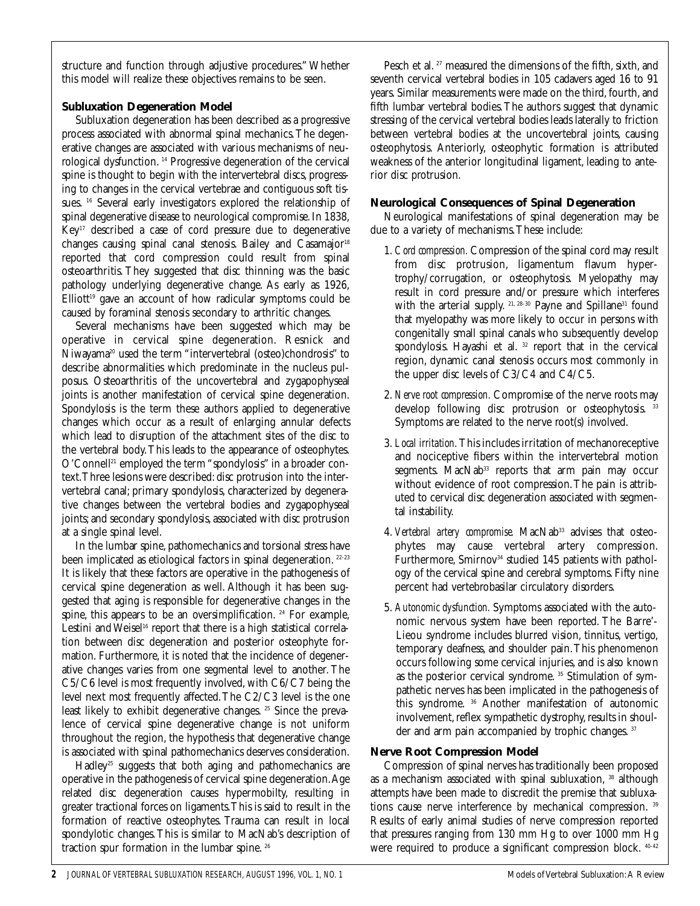structure and function through adjustive procedures." Whether this model will realize these objectives remains to be seen.

## **Subluxation Degeneration Model**

Subluxation degeneration has been described as a progressive process associated with abnormal spinal mechanics.The degenerative changes are associated with various mechanisms of neurological dysfunction. <sup>14</sup> Progressive degeneration of the cervical spine is thought to begin with the intervertebral discs, progressing to changes in the cervical vertebrae and contiguous soft tissues. <sup>16</sup> Several early investigators explored the relationship of spinal degenerative disease to neurological compromise.In 1838, Key17 described a case of cord pressure due to degenerative changes causing spinal canal stenosis. Bailey and Casamajor<sup>18</sup> reported that cord compression could result from spinal osteoarthritis. They suggested that disc thinning was the basic pathology underlying degenerative change. As early as 1926,  $Elliot<sup>19</sup>$  gave an account of how radicular symptoms could be caused by foraminal stenosis secondary to arthritic changes.

Several mechanisms have been suggested which may be operative in cervical spine degeneration. Resnick and Niwayama<sup>20</sup> used the term "intervertebral (osteo)chondrosis" to describe abnormalities which predominate in the nucleus pulposus. Osteoarthritis of the uncovertebral and zygapophyseal joints is another manifestation of cervical spine degeneration. Spondylosis is the term these authors applied to degenerative changes which occur as a result of enlarging annular defects which lead to disruption of the attachment sites of the disc to the vertebral body.This leads to the appearance of osteophytes. O'Connell<sup>21</sup> employed the term "spondylosis" in a broader context.Three lesions were described: disc protrusion into the intervertebral canal; primary spondylosis, characterized by degenerative changes between the vertebral bodies and zygapophyseal joints; and secondary spondylosis, associated with disc protrusion at a single spinal level.

In the lumbar spine, pathomechanics and torsional stress have been implicated as etiological factors in spinal degeneration.<sup>22-23</sup> It is likely that these factors are operative in the pathogenesis of cervical spine degeneration as well. Although it has been suggested that aging is responsible for degenerative changes in the spine, this appears to be an oversimplification.<sup>24</sup> For example, Lestini and Weisel<sup>16</sup> report that there is a high statistical correlation between disc degeneration and posterior osteophyte formation. Furthermore, it is noted that the incidence of degenerative changes varies from one segmental level to another. The C5/C6 level is most frequently involved, with C6/C7 being the level next most frequently affected.The C2/C3 level is the one least likely to exhibit degenerative changes. <sup>25</sup> Since the prevalence of cervical spine degenerative change is not uniform throughout the region, the hypothesis that degenerative change is associated with spinal pathomechanics deserves consideration.

Hadley<sup>25</sup> suggests that both aging and pathomechanics are operative in the pathogenesis of cervical spine degeneration.Age related disc degeneration causes hypermobilty, resulting in greater tractional forces on ligaments.This is said to result in the formation of reactive osteophytes. Trauma can result in local spondylotic changes.This is similar to MacNab's description of traction spur formation in the lumbar spine. <sup>26</sup>

Pesch et al.<sup>27</sup> measured the dimensions of the fifth, sixth, and seventh cervical vertebral bodies in 105 cadavers aged 16 to 91 years. Similar measurements were made on the third, fourth, and fifth lumbar vertebral bodies.The authors suggest that dynamic stressing of the cervical vertebral bodies leads laterally to friction between vertebral bodies at the uncovertebral joints, causing osteophytosis. Anteriorly, osteophytic formation is attributed weakness of the anterior longitudinal ligament, leading to anterior disc protrusion.

### **Neurological Consequences of Spinal Degeneration**

Neurological manifestations of spinal degeneration may be due to a variety of mechanisms.These include:

- 1. *Cord compression.* Compression of the spinal cord may result from disc protrusion, ligamentum flavum hypertrophy/corrugation, or osteophytosis. Myelopathy may result in cord pressure and/or pressure which interferes with the arterial supply. <sup>21, 28-30</sup> Payne and Spillane<sup>31</sup> found that myelopathy was more likely to occur in persons with congenitally small spinal canals who subsequently develop spondylosis. Hayashi et al. <sup>32</sup> report that in the cervical region, dynamic canal stenosis occurs most commonly in the upper disc levels of C3/C4 and C4/C5.
- 2. *Nerve root compression.* Compromise of the nerve roots may develop following disc protrusion or osteophytosis. 33 Symptoms are related to the nerve root(s) involved.
- 3. *Local irritation.*This includes irritation of mechanoreceptive and nociceptive fibers within the intervertebral motion segments. MacNab<sup>33</sup> reports that arm pain may occur without evidence of root compression.The pain is attributed to cervical disc degeneration associated with segmental instability.
- 4. Vertebral artery compromise. MacNab<sup>33</sup> advises that osteophytes may cause vertebral artery compression. Furthermore, Smirnov<sup>34</sup> studied 145 patients with pathology of the cervical spine and cerebral symptoms. Fifty nine percent had vertebrobasilar circulatory disorders.
- 5. *Autonomic dysfunction.* Symptoms associated with the autonomic nervous system have been reported. The Barre'- Lieou syndrome includes blurred vision, tinnitus, vertigo, temporary deafness, and shoulder pain.This phenomenon occurs following some cervical injuries, and is also known as the posterior cervical syndrome.<sup>35</sup> Stimulation of sympathetic nerves has been implicated in the pathogenesis of this syndrome. <sup>36</sup> Another manifestation of autonomic involvement, reflex sympathetic dystrophy, results in shoulder and arm pain accompanied by trophic changes. 37

## **Nerve Root Compression Model**

Compression of spinal nerves has traditionally been proposed as a mechanism associated with spinal subluxation, <sup>38</sup> although attempts have been made to discredit the premise that subluxations cause nerve interference by mechanical compression. <sup>39</sup> Results of early animal studies of nerve compression reported that pressures ranging from 130 mm Hg to over 1000 mm Hg were required to produce a significant compression block. 40-42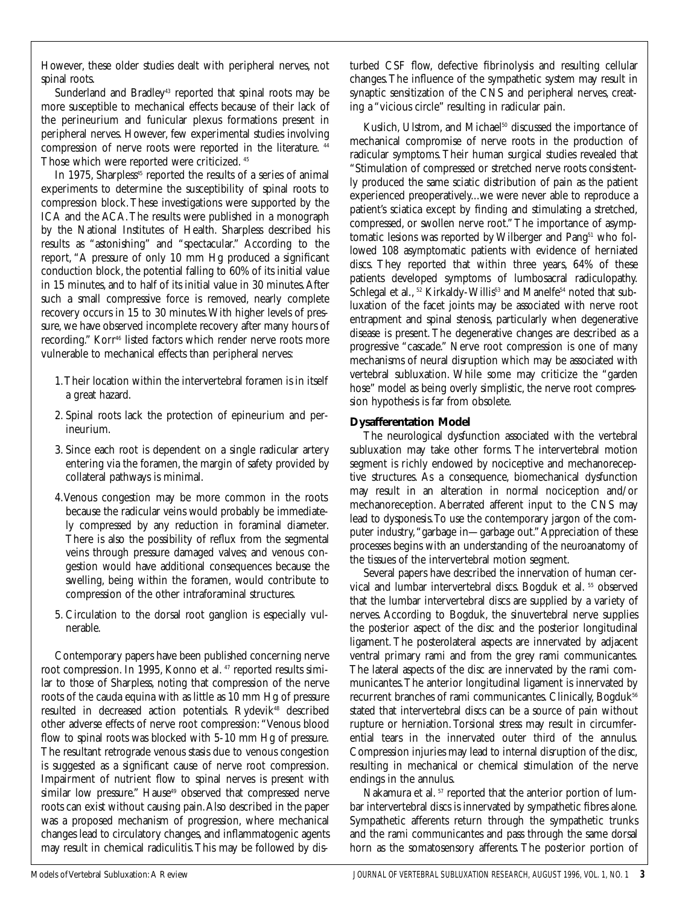However, these older studies dealt with peripheral nerves, not spinal roots.

Sunderland and Bradley<sup>43</sup> reported that spinal roots may be more susceptible to mechanical effects because of their lack of the perineurium and funicular plexus formations present in peripheral nerves. However, few experimental studies involving compression of nerve roots were reported in the literature. <sup>44</sup> Those which were reported were criticized. <sup>45</sup>

In 1975, Sharpless<sup>45</sup> reported the results of a series of animal experiments to determine the susceptibility of spinal roots to compression block.These investigations were supported by the ICA and the ACA.The results were published in a monograph by the National Institutes of Health. Sharpless described his results as "astonishing" and "spectacular." According to the report, "A pressure of only 10 mm Hg produced a significant conduction block, the potential falling to 60% of its initial value in 15 minutes, and to half of its initial value in 30 minutes.After such a small compressive force is removed, nearly complete recovery occurs in 15 to 30 minutes.With higher levels of pressure, we have observed incomplete recovery after many hours of recording." Korr<sup>46</sup> listed factors which render nerve roots more vulnerable to mechanical effects than peripheral nerves:

- 1.Their location within the intervertebral foramen is in itself a great hazard.
- 2. Spinal roots lack the protection of epineurium and perineurium.
- 3. Since each root is dependent on a single radicular artery entering via the foramen, the margin of safety provided by collateral pathways is minimal.
- 4.Venous congestion may be more common in the roots because the radicular veins would probably be immediately compressed by any reduction in foraminal diameter. There is also the possibility of reflux from the segmental veins through pressure damaged valves; and venous congestion would have additional consequences because the swelling, being within the foramen, would contribute to compression of the other intraforaminal structures.
- 5. Circulation to the dorsal root ganglion is especially vulnerable.

Contemporary papers have been published concerning nerve root compression. In 1995, Konno et al. <sup>47</sup> reported results similar to those of Sharpless, noting that compression of the nerve roots of the cauda equina with as little as 10 mm Hg of pressure resulted in decreased action potentials. Rydevik<sup>48</sup> described other adverse effects of nerve root compression:"Venous blood flow to spinal roots was blocked with 5-10 mm Hg of pressure. The resultant retrograde venous stasis due to venous congestion is suggested as a significant cause of nerve root compression. Impairment of nutrient flow to spinal nerves is present with similar low pressure." Hause<sup>49</sup> observed that compressed nerve roots can exist without causing pain.Also described in the paper was a proposed mechanism of progression, where mechanical changes lead to circulatory changes, and inflammatogenic agents may result in chemical radiculitis.This may be followed by dis-

turbed CSF flow, defective fibrinolysis and resulting cellular changes.The influence of the sympathetic system may result in synaptic sensitization of the CNS and peripheral nerves, creating a "vicious circle" resulting in radicular pain.

Kuslich, Ulstrom, and Michael<sup>50</sup> discussed the importance of mechanical compromise of nerve roots in the production of radicular symptoms.Their human surgical studies revealed that "Stimulation of compressed or stretched nerve roots consistently produced the same sciatic distribution of pain as the patient experienced preoperatively...we were never able to reproduce a patient's sciatica except by finding and stimulating a stretched, compressed, or swollen nerve root."The importance of asymptomatic lesions was reported by Wilberger and Pang<sup>51</sup> who followed 108 asymptomatic patients with evidence of herniated discs. They reported that within three years, 64% of these patients developed symptoms of lumbosacral radiculopathy. Schlegal et al., <sup>52</sup> Kirkaldy-Willis<sup>53</sup> and Manelfe<sup>54</sup> noted that subluxation of the facet joints may be associated with nerve root entrapment and spinal stenosis, particularly when degenerative disease is present. The degenerative changes are described as a progressive "cascade." Nerve root compression is one of many mechanisms of neural disruption which may be associated with vertebral subluxation. While some may criticize the "garden hose" model as being overly simplistic, the nerve root compression hypothesis is far from obsolete.

## **Dysafferentation Model**

The neurological dysfunction associated with the vertebral subluxation may take other forms. The intervertebral motion segment is richly endowed by nociceptive and mechanoreceptive structures. As a consequence, biomechanical dysfunction may result in an alteration in normal nociception and/or mechanoreception. Aberrated afferent input to the CNS may lead to dysponesis.To use the contemporary jargon of the computer industry,"garbage in—garbage out."Appreciation of these processes begins with an understanding of the neuroanatomy of the tissues of the intervertebral motion segment.

Several papers have described the innervation of human cervical and lumbar intervertebral discs. Bogduk et al. <sup>55</sup> observed that the lumbar intervertebral discs are supplied by a variety of nerves. According to Bogduk, the sinuvertebral nerve supplies the posterior aspect of the disc and the posterior longitudinal ligament. The posterolateral aspects are innervated by adjacent ventral primary rami and from the grey rami communicantes. The lateral aspects of the disc are innervated by the rami communicantes.The anterior longitudinal ligament is innervated by recurrent branches of rami communicantes. Clinically, Bogduk<sup>56</sup> stated that intervertebral discs can be a source of pain without rupture or herniation. Torsional stress may result in circumferential tears in the innervated outer third of the annulus. Compression injuries may lead to internal disruption of the disc, resulting in mechanical or chemical stimulation of the nerve endings in the annulus.

Nakamura et al.<sup>57</sup> reported that the anterior portion of lumbar intervertebral discs is innervated by sympathetic fibres alone. Sympathetic afferents return through the sympathetic trunks and the rami communicantes and pass through the same dorsal horn as the somatosensory afferents. The posterior portion of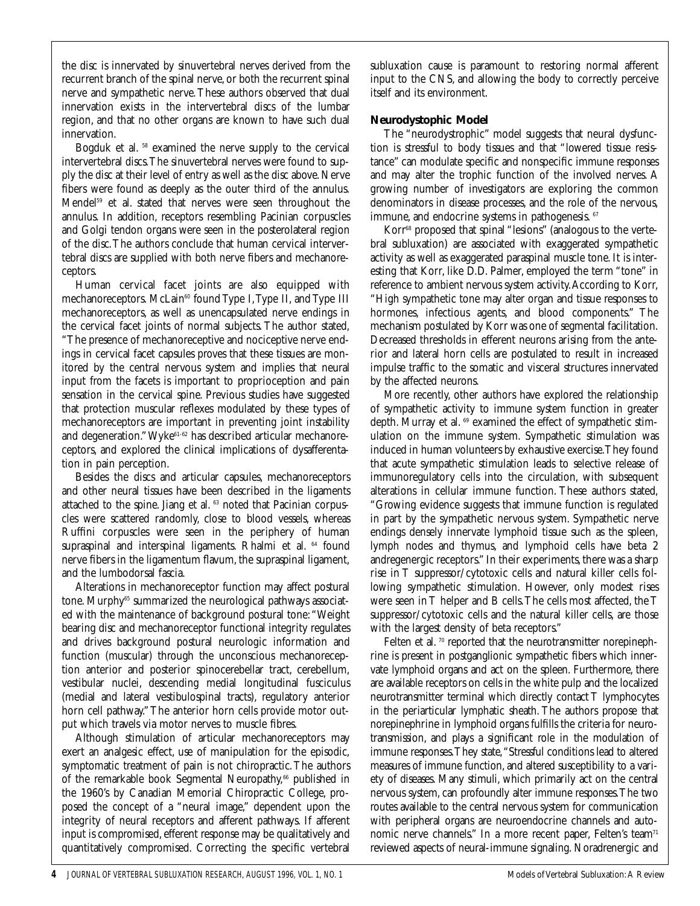the disc is innervated by sinuvertebral nerves derived from the recurrent branch of the spinal nerve, or both the recurrent spinal nerve and sympathetic nerve.These authors observed that dual innervation exists in the intervertebral discs of the lumbar region, and that no other organs are known to have such dual innervation.

Bogduk et al. <sup>58</sup> examined the nerve supply to the cervical intervertebral discs.The sinuvertebral nerves were found to supply the disc at their level of entry as well as the disc above. Nerve fibers were found as deeply as the outer third of the annulus. Mendel<sup>59</sup> et al. stated that nerves were seen throughout the annulus. In addition, receptors resembling Pacinian corpuscles and Golgi tendon organs were seen in the posterolateral region of the disc.The authors conclude that human cervical intervertebral discs are supplied with both nerve fibers and mechanoreceptors.

Human cervical facet joints are also equipped with mechanoreceptors. McLain<sup>60</sup> found Type I, Type II, and Type III mechanoreceptors, as well as unencapsulated nerve endings in the cervical facet joints of normal subjects. The author stated, "The presence of mechanoreceptive and nociceptive nerve endings in cervical facet capsules proves that these tissues are monitored by the central nervous system and implies that neural input from the facets is important to proprioception and pain sensation in the cervical spine. Previous studies have suggested that protection muscular reflexes modulated by these types of mechanoreceptors are important in preventing joint instability and degeneration." Wyke<sup>61-62</sup> has described articular mechanoreceptors, and explored the clinical implications of dysafferentation in pain perception.

Besides the discs and articular capsules, mechanoreceptors and other neural tissues have been described in the ligaments attached to the spine. Jiang et al. <sup>63</sup> noted that Pacinian corpuscles were scattered randomly, close to blood vessels, whereas Ruffini corpuscles were seen in the periphery of human supraspinal and interspinal ligaments. Rhalmi et al. <sup>64</sup> found nerve fibers in the ligamentum flavum, the supraspinal ligament, and the lumbodorsal fascia.

Alterations in mechanoreceptor function may affect postural tone. Murphy<sup>65</sup> summarized the neurological pathways associated with the maintenance of background postural tone:"Weight bearing disc and mechanoreceptor functional integrity regulates and drives background postural neurologic information and function (muscular) through the unconscious mechanoreception anterior and posterior spinocerebellar tract, cerebellum, vestibular nuclei, descending medial longitudinal fusciculus (medial and lateral vestibulospinal tracts), regulatory anterior horn cell pathway."The anterior horn cells provide motor output which travels via motor nerves to muscle fibres.

Although stimulation of articular mechanoreceptors may exert an analgesic effect, use of manipulation for the episodic, symptomatic treatment of pain is not chiropractic.The authors of the remarkable book Segmental Neuropathy,<sup>66</sup> published in the 1960's by Canadian Memorial Chiropractic College, proposed the concept of a "neural image," dependent upon the integrity of neural receptors and afferent pathways. If afferent input is compromised, efferent response may be qualitatively and quantitatively compromised. Correcting the specific vertebral

subluxation cause is paramount to restoring normal afferent input to the CNS, and allowing the body to correctly perceive itself and its environment.

## **Neurodystophic Model**

The "neurodystrophic" model suggests that neural dysfunction is stressful to body tissues and that "lowered tissue resistance" can modulate specific and nonspecific immune responses and may alter the trophic function of the involved nerves. A growing number of investigators are exploring the common denominators in disease processes, and the role of the nervous, immune, and endocrine systems in pathogenesis. <sup>67</sup>

Korr<sup>68</sup> proposed that spinal "lesions" (analogous to the vertebral subluxation) are associated with exaggerated sympathetic activity as well as exaggerated paraspinal muscle tone. It is interesting that Korr, like D.D. Palmer, employed the term "tone" in reference to ambient nervous system activity.According to Korr, "High sympathetic tone may alter organ and tissue responses to hormones, infectious agents, and blood components." The mechanism postulated by Korr was one of segmental facilitation. Decreased thresholds in efferent neurons arising from the anterior and lateral horn cells are postulated to result in increased impulse traffic to the somatic and visceral structures innervated by the affected neurons.

More recently, other authors have explored the relationship of sympathetic activity to immune system function in greater depth. Murray et al. <sup>69</sup> examined the effect of sympathetic stimulation on the immune system. Sympathetic stimulation was induced in human volunteers by exhaustive exercise.They found that acute sympathetic stimulation leads to selective release of immunoregulatory cells into the circulation, with subsequent alterations in cellular immune function. These authors stated, "Growing evidence suggests that immune function is regulated in part by the sympathetic nervous system. Sympathetic nerve endings densely innervate lymphoid tissue such as the spleen, lymph nodes and thymus, and lymphoid cells have beta 2 andregenergic receptors." In their experiments, there was a sharp rise in T suppressor/cytotoxic cells and natural killer cells following sympathetic stimulation. However, only modest rises were seen in T helper and B cells.The cells most affected, the T suppressor/cytotoxic cells and the natural killer cells, are those with the largest density of beta receptors."

Felten et al. <sup>70</sup> reported that the neurotransmitter norepinephrine is present in postganglionic sympathetic fibers which innervate lymphoid organs and act on the spleen. Furthermore, there are available receptors on cells in the white pulp and the localized neurotransmitter terminal which directly contact T lymphocytes in the periarticular lymphatic sheath. The authors propose that norepinephrine in lymphoid organs fulfills the criteria for neurotransmission, and plays a significant role in the modulation of immune responses.They state,"Stressful conditions lead to altered measures of immune function, and altered susceptibility to a variety of diseases. Many stimuli, which primarily act on the central nervous system, can profoundly alter immune responses.The two routes available to the central nervous system for communication with peripheral organs are neuroendocrine channels and autonomic nerve channels." In a more recent paper, Felten's team<sup>71</sup> reviewed aspects of neural-immune signaling. Noradrenergic and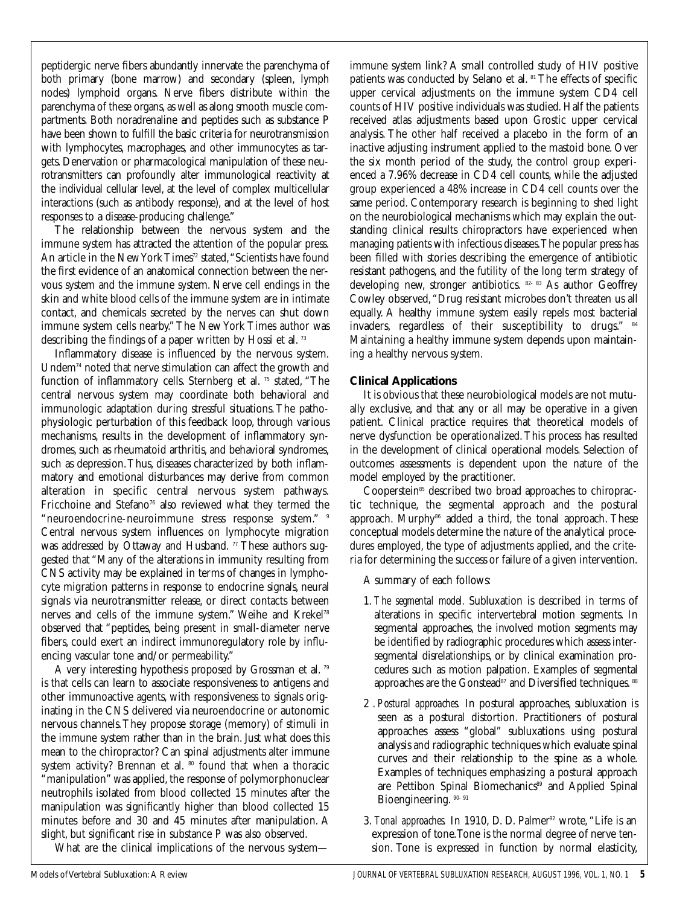peptidergic nerve fibers abundantly innervate the parenchyma of both primary (bone marrow) and secondary (spleen, lymph nodes) lymphoid organs. Nerve fibers distribute within the parenchyma of these organs, as well as along smooth muscle compartments. Both noradrenaline and peptides such as substance P have been shown to fulfill the basic criteria for neurotransmission with lymphocytes, macrophages, and other immunocytes as targets. Denervation or pharmacological manipulation of these neurotransmitters can profoundly alter immunological reactivity at the individual cellular level, at the level of complex multicellular interactions (such as antibody response), and at the level of host responses to a disease-producing challenge."

The relationship between the nervous system and the immune system has attracted the attention of the popular press. An article in the New York Times<sup>72</sup> stated, "Scientists have found the first evidence of an anatomical connection between the nervous system and the immune system. Nerve cell endings in the skin and white blood cells of the immune system are in intimate contact, and chemicals secreted by the nerves can shut down immune system cells nearby."The New York Times author was describing the findings of a paper written by Hossi et al. <sup>73</sup>

Inflammatory disease is influenced by the nervous system. Undem74 noted that nerve stimulation can affect the growth and function of inflammatory cells. Sternberg et al. <sup>75</sup> stated, "The central nervous system may coordinate both behavioral and immunologic adaptation during stressful situations. The pathophysiologic perturbation of this feedback loop, through various mechanisms, results in the development of inflammatory syndromes, such as rheumatoid arthritis, and behavioral syndromes, such as depression.Thus, diseases characterized by both inflammatory and emotional disturbances may derive from common alteration in specific central nervous system pathways. Fricchoine and Stefano<sup>76</sup> also reviewed what they termed the "neuroendocrine-neuroimmune stress response system." <sup>9</sup> Central nervous system influences on lymphocyte migration was addressed by Ottaway and Husband.<sup>77</sup> These authors suggested that "Many of the alterations in immunity resulting from CNS activity may be explained in terms of changes in lymphocyte migration patterns in response to endocrine signals, neural signals via neurotransmitter release, or direct contacts between nerves and cells of the immune system." Weihe and Krekel78 observed that "peptides, being present in small-diameter nerve fibers, could exert an indirect immunoregulatory role by influencing vascular tone and/or permeability."

A very interesting hypothesis proposed by Grossman et al. <sup>79</sup> is that cells can learn to associate responsiveness to antigens and other immunoactive agents, with responsiveness to signals originating in the CNS delivered via neuroendocrine or autonomic nervous channels.They propose storage (memory) of stimuli in the immune system rather than in the brain. Just what does this mean to the chiropractor? Can spinal adjustments alter immune system activity? Brennan et al. <sup>80</sup> found that when a thoracic "manipulation" was applied, the response of polymorphonuclear neutrophils isolated from blood collected 15 minutes after the manipulation was significantly higher than blood collected 15 minutes before and 30 and 45 minutes after manipulation. A slight, but significant rise in substance P was also observed.

What are the clinical implications of the nervous system—

immune system link? A small controlled study of HIV positive patients was conducted by Selano et al. <sup>81</sup> The effects of specific upper cervical adjustments on the immune system CD4 cell counts of HIV positive individuals was studied. Half the patients received atlas adjustments based upon Grostic upper cervical analysis. The other half received a placebo in the form of an inactive adjusting instrument applied to the mastoid bone. Over the six month period of the study, the control group experienced a 7.96% decrease in CD4 cell counts, while the adjusted group experienced a 48% increase in CD4 cell counts over the same period. Contemporary research is beginning to shed light on the neurobiological mechanisms which may explain the outstanding clinical results chiropractors have experienced when managing patients with infectious diseases.The popular press has been filled with stories describing the emergence of antibiotic resistant pathogens, and the futility of the long term strategy of developing new, stronger antibiotics. 82- 83 As author Geoffrey Cowley observed,"Drug resistant microbes don't threaten us all equally. A healthy immune system easily repels most bacterial invaders, regardless of their susceptibility to drugs." <sup>84</sup> Maintaining a healthy immune system depends upon maintaining a healthy nervous system.

#### **Clinical Applications**

It is obvious that these neurobiological models are not mutually exclusive, and that any or all may be operative in a given patient. Clinical practice requires that theoretical models of nerve dysfunction be operationalized. This process has resulted in the development of clinical operational models. Selection of outcomes assessments is dependent upon the nature of the model employed by the practitioner.

Cooperstein<sup>85</sup> described two broad approaches to chiropractic technique, the segmental approach and the postural approach. Murphy<sup>86</sup> added a third, the tonal approach. These conceptual models determine the nature of the analytical procedures employed, the type of adjustments applied, and the criteria for determining the success or failure of a given intervention.

A summary of each follows:

- 1. *The segmental model.* Subluxation is described in terms of alterations in specific intervertebral motion segments. In segmental approaches, the involved motion segments may be identified by radiographic procedures which assess intersegmental disrelationships, or by clinical examination procedures such as motion palpation. Examples of segmental approaches are the Gonstead<sup>87</sup> and Diversified techniques. 88
- 2 . *Postural approaches.* In postural approaches, subluxation is seen as a postural distortion. Practitioners of postural approaches assess "global" subluxations using postural analysis and radiographic techniques which evaluate spinal curves and their relationship to the spine as a whole. Examples of techniques emphasizing a postural approach are Pettibon Spinal Biomechanics<sup>89</sup> and Applied Spinal Bioengineering. 90- 91
- 3. *Tonal approaches.* In 1910, D. D. Palmer<sup>92</sup> wrote, "Life is an expression of tone.Tone is the normal degree of nerve tension. Tone is expressed in function by normal elasticity,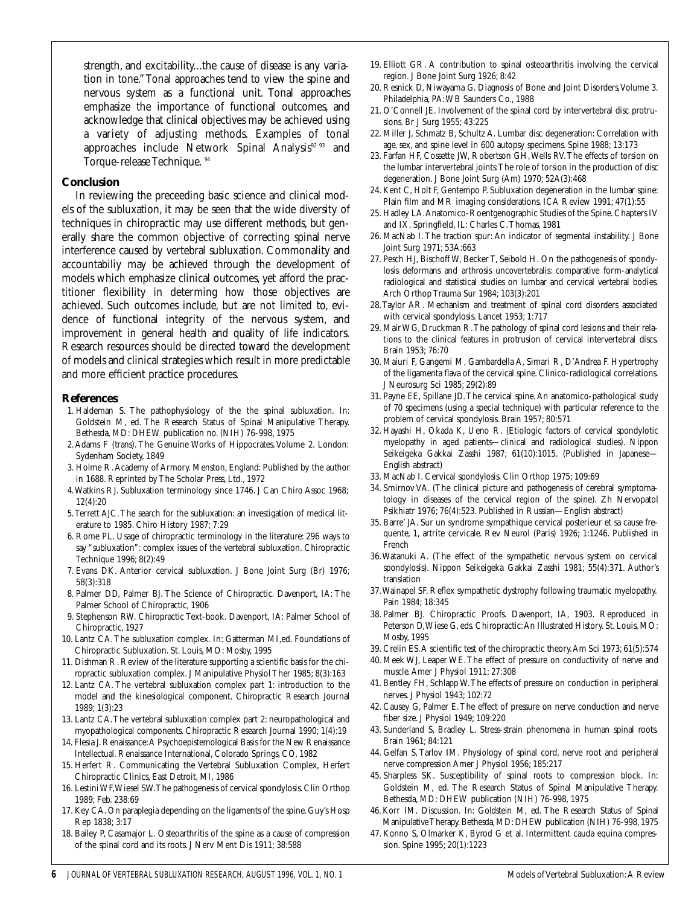strength, and excitability...the cause of disease is any variation in tone."Tonal approaches tend to view the spine and nervous system as a functional unit. Tonal approaches emphasize the importance of functional outcomes, and acknowledge that clinical objectives may be achieved using a variety of adjusting methods. Examples of tonal approaches include Network Spinal Analysis<sup>92-93</sup> and Torque-release Technique. <sup>94</sup>

#### **Conclusion**

In reviewing the preceeding basic science and clinical models of the subluxation, it may be seen that the wide diversity of techniques in chiropractic may use different methods, but generally share the common objective of correcting spinal nerve interference caused by vertebral subluxation. Commonality and accountabiliy may be achieved through the development of models which emphasize clinical outcomes, yet afford the practitioner flexibility in determing how those objectives are achieved. Such outcomes include, but are not limited to, evidence of functional integrity of the nervous system, and improvement in general health and quality of life indicators. Research resources should be directed toward the development of models and clinical strategies which result in more predictable and more efficient practice procedures.

#### **References**

- 1. Haldeman S. The pathophysiology of the the spinal subluxation. In: Goldstein M, ed. The Research Status of Spinal Manipulative Therapy. Bethesda, MD: DHEW publication no. (NIH) 76-998, 1975
- 2.Adams F (trans). The Genuine Works of Hippocrates. Volume 2. London: Sydenham Society, 1849
- 3. Holme R.Academy of Armory. Menston, England: Published by the author in 1688. Reprinted by The Scholar Press, Ltd., 1972
- 4.Watkins RJ. Subluxation terminology since 1746. J Can Chiro Assoc 1968; 12(4):20
- 5.Terrett AJC.The search for the subluxation: an investigation of medical literature to 1985. Chiro History 1987; 7:29
- 6. Rome PL. Usage of chiropractic terminology in the literature: 296 ways to say "subluxation": complex issues of the vertebral subluxation. Chiropractic Technique 1996; 8(2):49
- 7. Evans DK. Anterior cervical subluxation. J Bone Joint Surg (Br) 1976; 58(3):318
- 8. Palmer DD, Palmer BJ. The Science of Chiropractic. Davenport, IA: The Palmer School of Chiropractic, 1906
- 9. Stephenson RW. Chiropractic Text-book. Davenport, IA: Palmer School of Chiropractic, 1927
- 10. Lantz CA.The subluxation complex. In: Gatterman MI,ed. Foundations of Chiropractic Subluxation. St. Louis, MO: Mosby, 1995
- 11. Dishman R. Review of the literature supporting a scientific basis for the chiropractic subluxation complex. J Manipulative Physiol Ther 1985; 8(3):163
- 12. Lantz CA. The vertebral subluxation complex part 1: introduction to the model and the kinesiological component. Chiropractic Research Journal 1989; 1(3):23
- 13. Lantz CA.The vertebral subluxation complex part 2: neuropathological and myopathological components. Chiropractic Research Journal 1990; 1(4):19
- 14. Flesia J. Renaissance:A Psychoepistemological Basis for the New Renaissance Intellectual. Renaissance International, Colorado Springs, CO, 1982
- 15. Herfert R. Communicating the Vertebral Subluxation Complex, Herfert Chiropractic Clinics, East Detroit, MI, 1986
- 16. Lestini WF,Wiesel SW.The pathogenesis of cervical spondylosis. Clin Orthop 1989; Feb. 238:69
- 17. Key CA. On paraplegia depending on the ligaments of the spine. Guy's Hosp Rep 1838; 3:17
- 18. Bailey P, Casamajor L. Osteoarthritis of the spine as a cause of compression of the spinal cord and its roots. J Nerv Ment Dis 1911; 38:588
- 19. Elliott GR. A contribution to spinal osteoarthritis involving the cervical region. J Bone Joint Surg 1926; 8:42
- 20. Resnick D, Niwayama G. Diagnosis of Bone and Joint Disorders, Volume 3. Philadelphia, PA:WB Saunders Co., 1988
- 21. O'Connell JE. Involvement of the spinal cord by intervertebral disc protrusions. Br J Surg 1955; 43:225
- 22. Miller J, Schmatz B, Schultz A. Lumbar disc degeneration: Correlation with age, sex, and spine level in 600 autopsy specimens. Spine 1988; 13:173
- 23. Farfan HF, Cossette JW, Robertson GH,Wells RV.The effects of torsion on the lumbar intervertebral joints:The role of torsion in the production of disc degeneration. J Bone Joint Surg (Am) 1970; 52A(3):468
- 24. Kent C, Holt F, Gentempo P. Subluxation degeneration in the lumbar spine: Plain film and MR imaging considerations. ICA Review 1991; 47(1):55
- 25. Hadley LA.Anatomico-Roentgenographic Studies of the Spine. Chapters IV and IX. Springfield, IL: Charles C.Thomas, 1981
- 26. MacNab I. The traction spur: An indicator of segmental instability. J Bone Joint Surg 1971; 53A:663
- 27. Pesch HJ, Bischoff W, Becker T, Seibold H. On the pathogenesis of spondylosis deformans and arthrosis uncovertebralis: comparative form-analytical radiological and statistical studies on lumbar and cervical vertebral bodies. Arch Orthop Trauma Sur 1984; 103(3):201
- 28.Taylor AR. Mechanism and treatment of spinal cord disorders associated with cervical spondylosis. Lancet 1953; 1:717
- 29. Mair WG, Druckman R.The pathology of spinal cord lesions and their relations to the clinical features in protrusion of cervical intervertebral discs. Brain 1953; 76:70
- 30. Maiuri F, Gangemi M, Gambardella A, Simari R, D'Andrea F. Hypertrophy of the ligamenta flava of the cervical spine. Clinico-radiological correlations. J Neurosurg Sci 1985; 29(2):89
- 31. Payne EE, Spillane JD.The cervical spine. An anatomico-pathological study of 70 specimens (using a special technique) with particular reference to the problem of cervical spondylosis. Brain 1957; 80:571
- 32. Hayashi H, Okada K, Ueno R. (Etiologic factors of cervical spondylotic myelopathy in aged patients—clinical and radiological studies). Nippon Seikeigeka Gakkai Zasshi 1987; 61(10):1015. (Published in Japanese— English abstract)
- 33. MacNab I. Cervical spondylosis. Clin Orthop 1975; 109:69
- 34. Smirnov VA. (The clinical picture and pathogenesis of cerebral symptomatology in diseases of the cervical region of the spine). Zh Nervopatol Psikhiatr 1976; 76(4):523. Published in Russian—English abstract)
- 35. Barre' JA. Sur un syndrome sympathique cervical posterieur et sa cause frequente, 1, artrite cervicale. Rev Neurol (Paris) 1926; 1:1246. Published in French
- 36.Watanuki A. (The effect of the sympathetic nervous system on cervical spondylosis). Nippon Seikeigeka Gakkai Zasshi 1981; 55(4):371. Author's translation
- 37.Wainapel SF. Reflex sympathetic dystrophy following traumatic myelopathy. Pain 1984; 18:345
- 38. Palmer BJ. Chiropractic Proofs. Davenport, IA, 1903. Reproduced in Peterson D,Wiese G, eds. Chiropractic:An Illustrated History. St. Louis, MO: Mosby, 1995
- 39. Crelin ES.A scientific test of the chiropractic theory.Am Sci 1973; 61(5):574
- 40. Meek WJ, Leaper WE.The effect of pressure on conductivity of nerve and muscle.Amer J Physiol 1911; 27:308
- 41. Bentley FH, Schlapp W.The effects of pressure on conduction in peripheral nerves. J Physiol 1943; 102:72
- 42. Causey G, Palmer E.The effect of pressure on nerve conduction and nerve fiber size. J Physiol 1949; 109:220
- 43. Sunderland S, Bradley L. Stress-strain phenomena in human spinal roots. Brain 1961; 84:121
- 44. Gelfan S, Tarlov IM. Physiology of spinal cord, nerve root and peripheral nerve compression Amer J Physiol 1956; 185:217
- 45. Sharpless SK. Susceptibility of spinal roots to compression block. In: Goldstein M, ed. The Research Status of Spinal Manipulative Therapy. Bethesda, MD: DHEW publication (NIH) 76-998, 1975
- 46. Korr IM. Discussion. In: Goldstein M, ed. The Research Status of Spinal Manipulative Therapy. Bethesda, MD: DHEW publication (NIH) 76-998, 1975
- 47. Konno S, Olmarker K, Byrod G et al. Intermittent cauda equina compression. Spine 1995; 20(1):1223